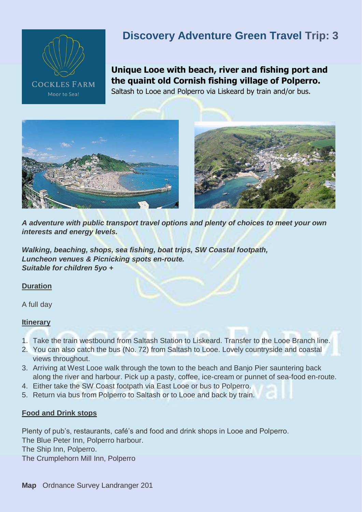

# **Discovery Adventure Green Travel Trip: 3**

**Unique Looe with beach, river and fishing port and the quaint old Cornish fishing village of Polperro.** Saltash to Looe and Polperro via Liskeard by train and/or bus.





*A adventure with public transport travel options and plenty of choices to meet your own interests and energy levels.* 

*Walking, beaching, shops, sea fishing, boat trips, SW Coastal footpath, Luncheon venues & Picnicking spots en-route. Suitable for children 5yo +*

### **Duration**

A full day

### **Itinerary**

- 1. Take the train westbound from Saltash Station to Liskeard. Transfer to the Looe Branch line.
- 2. You can also catch the bus (No. 72) from Saltash to Looe. Lovely countryside and coastal views throughout.
- 3. Arriving at West Looe walk through the town to the beach and Banjo Pier sauntering back along the river and harbour. Pick up a pasty, coffee, ice-cream or punnet of sea-food en-route.
- 4. Either take the SW Coast footpath via East Looe or bus to Polperro.
- 5. Return via bus from Polperro to Saltash or to Looe and back by train.

### **Food and Drink stops**

Plenty of pub's, restaurants, café's and food and drink shops in Looe and Polperro. The Blue Peter Inn, Polperro harbour. The Ship Inn, Polperro. The Crumplehorn Mill Inn, Polperro